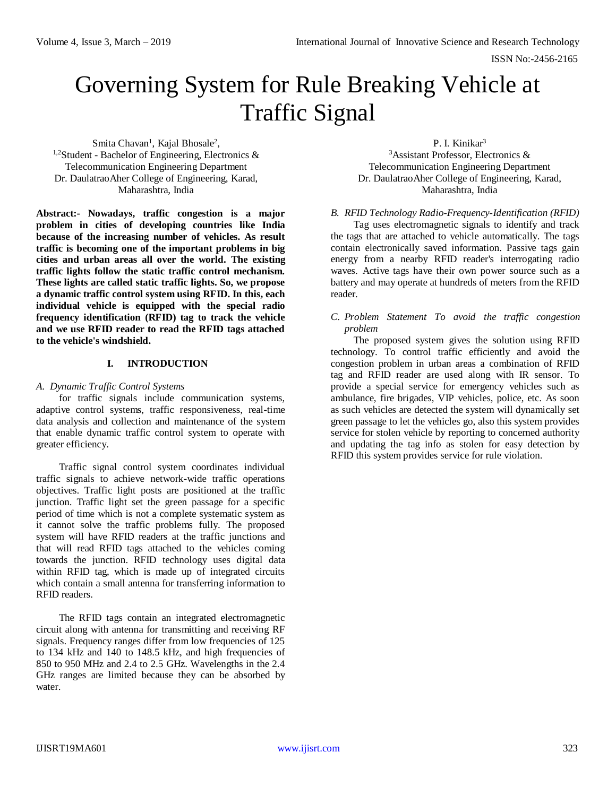# Governing System for Rule Breaking Vehicle at Traffic Signal

Smita Chavan<sup>1</sup>, Kajal Bhosale<sup>2</sup>,  $1,2$ Student - Bachelor of Engineering, Electronics & Telecommunication Engineering Department Dr. DaulatraoAher College of Engineering, Karad, Maharashtra, India

**Abstract:- Nowadays, traffic congestion is a major problem in cities of developing countries like India because of the increasing number of vehicles. As result traffic is becoming one of the important problems in big cities and urban areas all over the world. The existing traffic lights follow the static traffic control mechanism. These lights are called static traffic lights. So, we propose a dynamic traffic control system using RFID. In this, each individual vehicle is equipped with the special radio frequency identification (RFID) tag to track the vehicle and we use RFID reader to read the RFID tags attached to the vehicle's windshield.**

#### **I. INTRODUCTION**

#### *A. Dynamic Traffic Control Systems*

for traffic signals include communication systems, adaptive control systems, traffic responsiveness, real-time data analysis and collection and maintenance of the system that enable dynamic traffic control system to operate with greater efficiency.

Traffic signal control system coordinates individual traffic signals to achieve network-wide traffic operations objectives. Traffic light posts are positioned at the traffic junction. Traffic light set the green passage for a specific period of time which is not a complete systematic system as it cannot solve the traffic problems fully. The proposed system will have RFID readers at the traffic junctions and that will read RFID tags attached to the vehicles coming towards the junction. RFID technology uses digital data within RFID tag, which is made up of integrated circuits which contain a small antenna for transferring information to RFID readers.

The RFID tags contain an integrated electromagnetic circuit along with antenna for transmitting and receiving RF signals. Frequency ranges differ from low frequencies of 125 to 134 kHz and 140 to 148.5 kHz, and high frequencies of 850 to 950 MHz and 2.4 to 2.5 GHz. Wavelengths in the 2.4 GHz ranges are limited because they can be absorbed by water.

P. I. Kinikar<sup>3</sup> <sup>3</sup>Assistant Professor, Electronics & Telecommunication Engineering Department Dr. DaulatraoAher College of Engineering, Karad, Maharashtra, India

#### *B. RFID Technology Radio-Frequency-Identification (RFID)*

Tag uses electromagnetic signals to identify and track the tags that are attached to vehicle automatically. The tags contain electronically saved information. Passive tags gain energy from a nearby RFID reader's interrogating radio waves. Active tags have their own power source such as a battery and may operate at hundreds of meters from the RFID reader.

#### *C. Problem Statement To avoid the traffic congestion problem*

The proposed system gives the solution using RFID technology. To control traffic efficiently and avoid the congestion problem in urban areas a combination of RFID tag and RFID reader are used along with IR sensor. To provide a special service for emergency vehicles such as ambulance, fire brigades, VIP vehicles, police, etc. As soon as such vehicles are detected the system will dynamically set green passage to let the vehicles go, also this system provides service for stolen vehicle by reporting to concerned authority and updating the tag info as stolen for easy detection by RFID this system provides service for rule violation.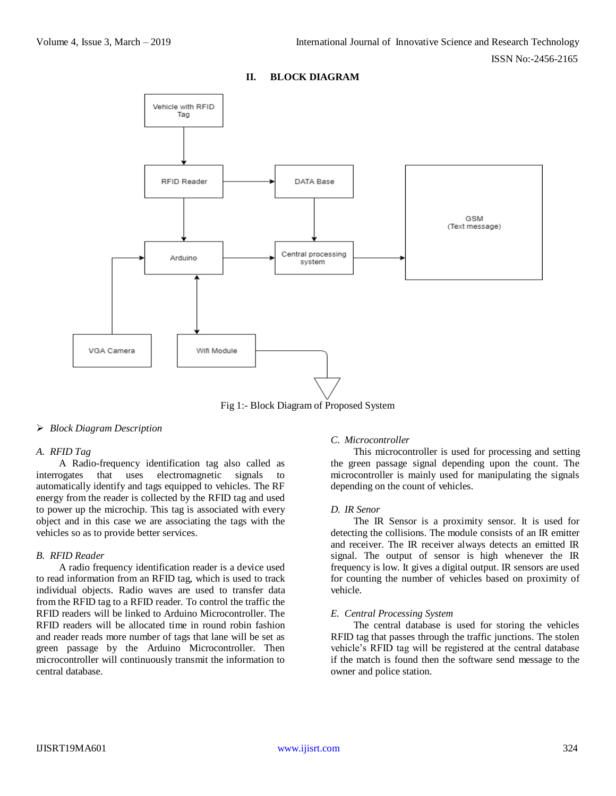## **II. BLOCK DIAGRAM**



Fig 1:- Block Diagram of Proposed System

## *Block Diagram Description*

#### *A. RFID Tag*

A Radio-frequency identification tag also called as interrogates that uses electromagnetic signals to automatically identify and tags equipped to vehicles. The RF energy from the reader is collected by the RFID tag and used to power up the microchip. This tag is associated with every object and in this case we are associating the tags with the vehicles so as to provide better services.

#### *B. RFID Reader*

A radio frequency identification reader is a device used to read information from an RFID tag, which is used to track individual objects. Radio waves are used to transfer data from the RFID tag to a RFID reader. To control the traffic the RFID readers will be linked to Arduino Microcontroller. The RFID readers will be allocated time in round robin fashion and reader reads more number of tags that lane will be set as green passage by the Arduino Microcontroller. Then microcontroller will continuously transmit the information to central database.

## *C. Microcontroller*

This microcontroller is used for processing and setting the green passage signal depending upon the count. The microcontroller is mainly used for manipulating the signals depending on the count of vehicles.

#### *D. IR Senor*

The IR Sensor is a proximity sensor. It is used for detecting the collisions. The module consists of an IR emitter and receiver. The IR receiver always detects an emitted IR signal. The output of sensor is high whenever the IR frequency is low. It gives a digital output. IR sensors are used for counting the number of vehicles based on proximity of vehicle.

#### *E. Central Processing System*

The central database is used for storing the vehicles RFID tag that passes through the traffic junctions. The stolen vehicle's RFID tag will be registered at the central database if the match is found then the software send message to the owner and police station.